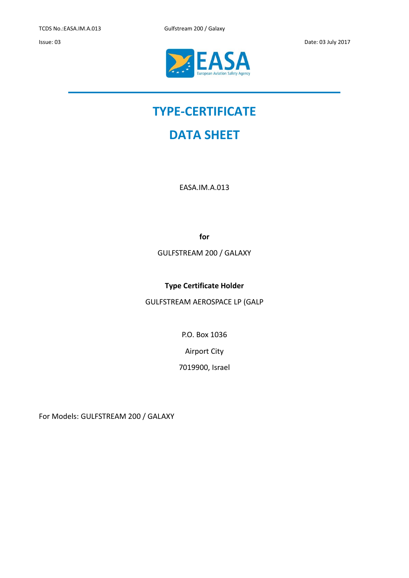TCDS No.:EASA.IM.A.013 Gulfstream 200 / Galaxy





# **TYPE-CERTIFICATE**

# **DATA SHEET**

EASA.IM.A.013

**for**

GULFSTREAM 200 / GALAXY

**Type Certificate Holder**

GULFSTREAM AEROSPACE LP (GALP

P.O. Box 1036

Airport City

7019900, Israel

For Models: GULFSTREAM 200 / GALAXY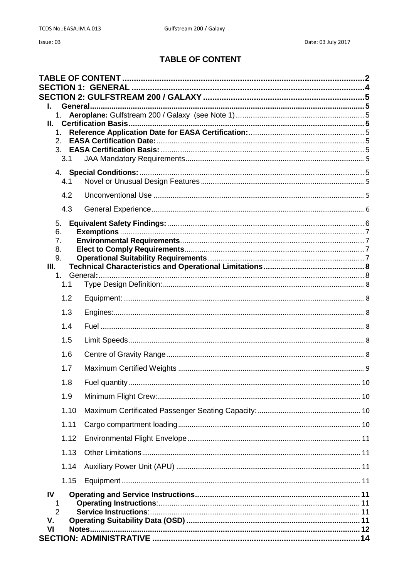# **TABLE OF CONTENT**

<span id="page-1-0"></span>

|                     | 1.      |  |
|---------------------|---------|--|
| Ш.                  | 1.      |  |
| 2.                  |         |  |
|                     |         |  |
|                     | 3.1     |  |
|                     | 4.1     |  |
|                     |         |  |
|                     | 4.2     |  |
|                     | 4.3     |  |
| 5.<br>6.            |         |  |
| 7.                  |         |  |
| 8.                  |         |  |
| 9.<br>Ш.            |         |  |
|                     | $1_{-}$ |  |
|                     | 1.1     |  |
|                     | 1.2     |  |
|                     | 1.3     |  |
|                     | 1.4     |  |
|                     | 1.5     |  |
|                     | 1.6     |  |
|                     | 1.7     |  |
|                     | 1.8     |  |
|                     | 1.9     |  |
|                     | 1.10    |  |
|                     | 1.11    |  |
|                     | 1.12    |  |
|                     | 1.13    |  |
|                     | 1.14    |  |
|                     | 1.15    |  |
| IV                  |         |  |
| 1<br>$\overline{2}$ |         |  |
| v.                  |         |  |
| V <sub>l</sub>      |         |  |
|                     |         |  |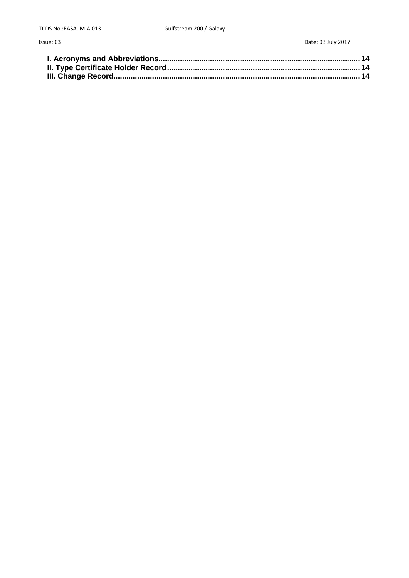Issue: 03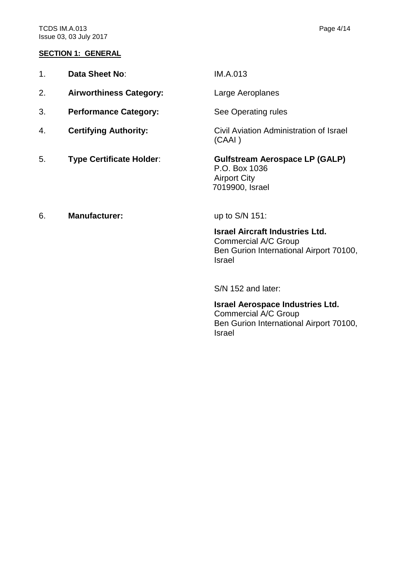#### <span id="page-3-0"></span>**SECTION 1: GENERAL**

| Data Sheet No:                 | <b>IM.A.013</b>  |
|--------------------------------|------------------|
| <b>Airworthiness Category:</b> | Large Aeroplanes |

- 3. **Performance Category:** See Operating rules
- 
- 

4. **Certifying Authority:** Civil Aviation Administration of Israel (CAAI )

5. **Type Certificate Holder**: **Gulfstream Aerospace LP (GALP)** P.O. Box 1036 Airport City 7019900, Israel

# 6. **Manufacturer:** up to S/N 151:

**Israel Aircraft Industries Ltd.** Commercial A/C Group Ben Gurion International Airport 70100, Israel

S/N 152 and later:

**Israel Aerospace Industries Ltd.** Commercial A/C Group Ben Gurion International Airport 70100, Israel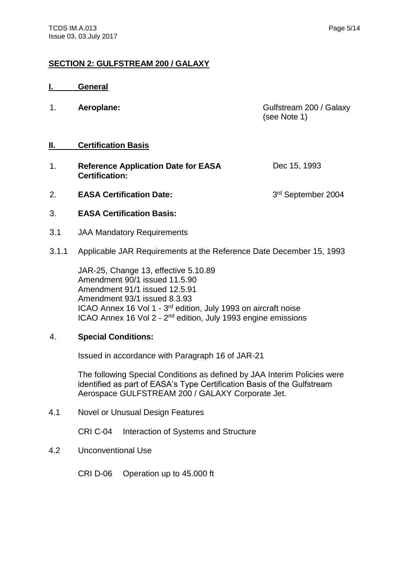## <span id="page-4-0"></span>**SECTION 2: GULFSTREAM 200 / GALAXY**

<span id="page-4-3"></span><span id="page-4-2"></span><span id="page-4-1"></span>

|                | General                                                             |                                         |
|----------------|---------------------------------------------------------------------|-----------------------------------------|
| 1.             | Aeroplane:                                                          | Gulfstream 200 / Galaxy<br>(see Note 1) |
| Ш.             | <b>Certification Basis</b>                                          |                                         |
| 1 <sub>1</sub> | <b>Reference Application Date for EASA</b><br><b>Certification:</b> | Dec 15, 1993                            |
| 2.             | <b>EASA Certification Date:</b>                                     | 3rd September 2004                      |

- <span id="page-4-6"></span><span id="page-4-5"></span><span id="page-4-4"></span>3. **EASA Certification Basis:**
- <span id="page-4-7"></span>3.1 JAA Mandatory Requirements
- 3.1.1 Applicable JAR Requirements at the Reference Date December 15, 1993

JAR-25, Change 13, effective 5.10.89 Amendment 90/1 issued 11.5.90 Amendment 91/1 issued 12.5.91 Amendment 93/1 issued 8.3.93 ICAO Annex 16 Vol 1 - 3<sup>rd</sup> edition, July 1993 on aircraft noise ICAO Annex 16 Vol 2 - 2<sup>nd</sup> edition, July 1993 engine emissions

#### <span id="page-4-8"></span>4. **Special Conditions:**

Issued in accordance with Paragraph 16 of JAR-21

The following Special Conditions as defined by JAA Interim Policies were identified as part of EASA's Type Certification Basis of the Gulfstream Aerospace GULFSTREAM 200 / GALAXY Corporate Jet.

<span id="page-4-9"></span>4.1 Novel or Unusual Design Features

CRI C-04 Interaction of Systems and Structure

<span id="page-4-10"></span>4.2 Unconventional Use

CRI D-06 Operation up to 45.000 ft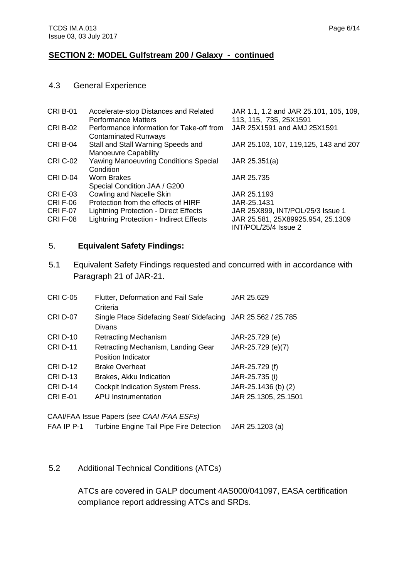#### <span id="page-5-0"></span>4.3 General Experience

| <b>CRI B-01</b> | Accelerate-stop Distances and Related<br><b>Performance Matters</b>      | JAR 1.1, 1.2 and JAR 25.101, 105, 109,<br>113, 115, 735, 25X1591 |
|-----------------|--------------------------------------------------------------------------|------------------------------------------------------------------|
| <b>CRI B-02</b> | Performance information for Take-off from<br><b>Contaminated Runways</b> | JAR 25X1591 and AMJ 25X1591                                      |
| <b>CRI B-04</b> | Stall and Stall Warning Speeds and<br>Manoeuvre Capability               | JAR 25.103, 107, 119, 125, 143 and 207                           |
| <b>CRI C-02</b> | <b>Yawing Manoeuvring Conditions Special</b><br>Condition                | JAR 25.351(a)                                                    |
| CRID-04         | Worn Brakes<br>Special Condition JAA / G200                              | JAR 25.735                                                       |
| <b>CRI E-03</b> | Cowling and Nacelle Skin                                                 | JAR 25.1193                                                      |
| <b>CRIF-06</b>  | Protection from the effects of HIRF                                      | JAR-25.1431                                                      |
| <b>CRIF-07</b>  | <b>Lightning Protection - Direct Effects</b>                             | JAR 25X899, INT/POL/25/3 Issue 1                                 |
| <b>CRIF-08</b>  | <b>Lightning Protection - Indirect Effects</b>                           | JAR 25.581, 25X89925.954, 25.1309<br>INT/POL/25/4 Issue 2        |

#### <span id="page-5-1"></span>5. **Equivalent Safety Findings:**

5.1 Equivalent Safety Findings requested and concurred with in accordance with Paragraph 21 of JAR-21.

| <b>CRI C-05</b> | Flutter, Deformation and Fail Safe                           | JAR 25.629           |
|-----------------|--------------------------------------------------------------|----------------------|
|                 | Criteria                                                     |                      |
| <b>CRI D-07</b> | Single Place Sidefacing Seat/ Sidefacing JAR 25.562 / 25.785 |                      |
|                 | Divans                                                       |                      |
| <b>CRI D-10</b> | <b>Retracting Mechanism</b>                                  | JAR-25.729 (e)       |
| <b>CRI D-11</b> | Retracting Mechanism, Landing Gear                           | JAR-25.729 (e)(7)    |
|                 | Position Indicator                                           |                      |
| <b>CRI D-12</b> | <b>Brake Overheat</b>                                        | JAR-25.729 (f)       |
| <b>CRI D-13</b> | Brakes, Akku Indication                                      | JAR-25.735 (i)       |
| <b>CRI D-14</b> | Cockpit Indication System Press.                             | JAR-25.1436 (b) (2)  |
| <b>CRI E-01</b> | <b>APU Instrumentation</b>                                   | JAR 25.1305, 25.1501 |
|                 |                                                              |                      |

CAAI/FAA Issue Papers (*see CAAI /FAA ESFs)*

```
FAA IP P-1 Turbine Engine Tail Pipe Fire Detection JAR 25.1203 (a)
```
## 5.2 Additional Technical Conditions (ATCs)

ATCs are covered in GALP document 4AS000/041097, EASA certification compliance report addressing ATCs and SRDs.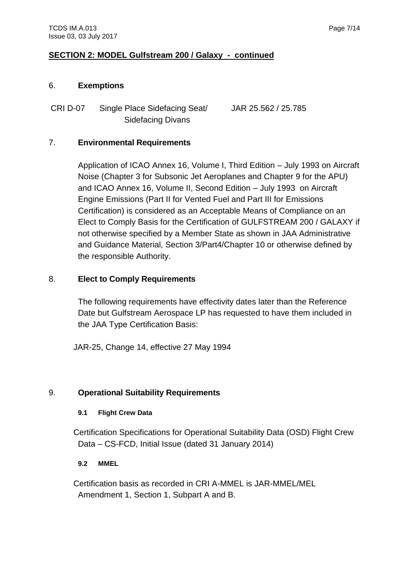#### <span id="page-6-0"></span>6. **Exemptions**

CRI D-07 Single Place Sidefacing Seat/ Sidefacing Divans JAR 25.562 / 25.785

# <span id="page-6-1"></span>7. **Environmental Requirements**

Application of ICAO Annex 16, Volume I, Third Edition – July 1993 on Aircraft Noise (Chapter 3 for Subsonic Jet Aeroplanes and Chapter 9 for the APU) and ICAO Annex 16, Volume II, Second Edition – July 1993 on Aircraft Engine Emissions (Part II for Vented Fuel and Part III for Emissions Certification) is considered as an Acceptable Means of Compliance on an Elect to Comply Basis for the Certification of GULFSTREAM 200 / GALAXY if not otherwise specified by a Member State as shown in JAA Administrative and Guidance Material, Section 3/Part4/Chapter 10 or otherwise defined by the responsible Authority.

# <span id="page-6-2"></span>8. **Elect to Comply Requirements**

The following requirements have effectivity dates later than the Reference Date but Gulfstream Aerospace LP has requested to have them included in the JAA Type Certification Basis:

JAR-25, Change 14, effective 27 May 1994

# <span id="page-6-3"></span>9. **Operational Suitability Requirements**

## **9.1 Flight Crew Data**

Certification Specifications for Operational Suitability Data (OSD) Flight Crew Data – CS-FCD, Initial Issue (dated 31 January 2014)

## **9.2 MMEL**

Certification basis as recorded in CRI A-MMEL is JAR-MMEL/MEL Amendment 1, Section 1, Subpart A and B.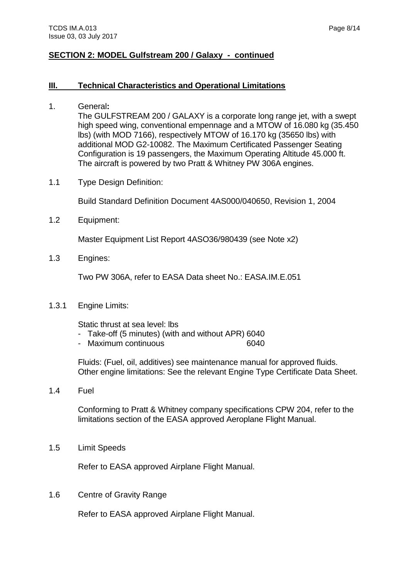#### <span id="page-7-0"></span>**III. Technical Characteristics and Operational Limitations**

<span id="page-7-1"></span>1. General**:**

The GULFSTREAM 200 / GALAXY is a corporate long range jet, with a swept high speed wing, conventional empennage and a MTOW of 16.080 kg (35.450 lbs) (with MOD 7166), respectively MTOW of 16.170 kg (35650 lbs) with additional MOD G2-10082. The Maximum Certificated Passenger Seating Configuration is 19 passengers, the Maximum Operating Altitude 45.000 ft. The aircraft is powered by two Pratt & Whitney PW 306A engines.

<span id="page-7-2"></span>1.1 Type Design Definition:

Build Standard Definition Document 4AS000/040650, Revision 1, 2004

<span id="page-7-3"></span>1.2 Equipment:

Master Equipment List Report 4ASO36/980439 (see Note x2)

<span id="page-7-4"></span>1.3 Engines:

Two PW 306A, refer to EASA Data sheet No.: EASA.IM.E.051

1.3.1 Engine Limits:

Static thrust at sea level: lbs

- Take-off (5 minutes) (with and without APR) 6040
- Maximum continuous 6040

Fluids: (Fuel, oil, additives) see maintenance manual for approved fluids. Other engine limitations: See the relevant Engine Type Certificate Data Sheet.

<span id="page-7-5"></span>1.4 Fuel

Conforming to Pratt & Whitney company specifications CPW 204, refer to the limitations section of the EASA approved Aeroplane Flight Manual.

<span id="page-7-6"></span>1.5 Limit Speeds

Refer to EASA approved Airplane Flight Manual.

<span id="page-7-7"></span>1.6 Centre of Gravity Range

Refer to EASA approved Airplane Flight Manual.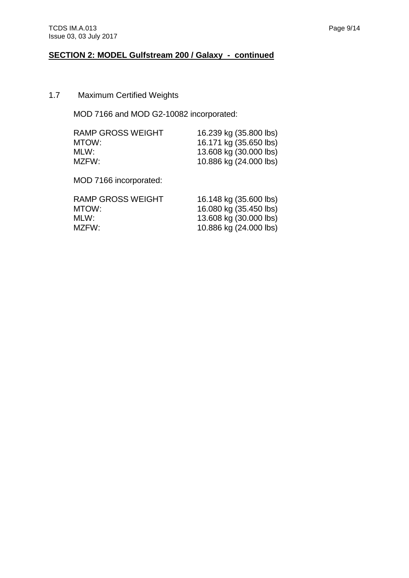# <span id="page-8-0"></span>1.7 Maximum Certified Weights

MOD 7166 and MOD G2-10082 incorporated:

| RAMP GROSS WEIGHT | 16.239 kg (35.800 lbs) |
|-------------------|------------------------|
| MTOW:             | 16.171 kg (35.650 lbs) |
| MLW:              | 13.608 kg (30.000 lbs) |
| MZFW:             | 10.886 kg (24.000 lbs) |
|                   |                        |

MOD 7166 incorporated:

| RAMP GROSS WEIGHT | 16.148 kg (35.600 lbs) |
|-------------------|------------------------|
| MTOW:             | 16.080 kg (35.450 lbs) |
| MLW:              | 13.608 kg (30.000 lbs) |
| MZFW:             | 10.886 kg (24.000 lbs) |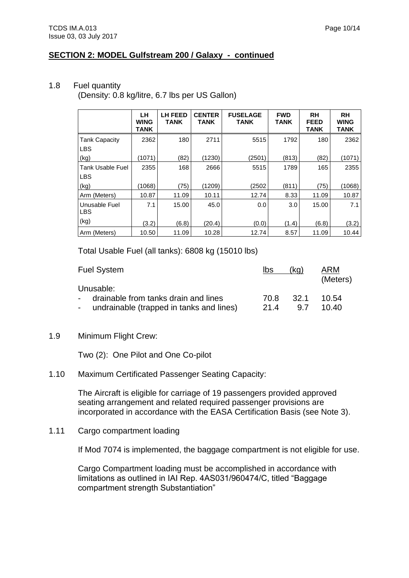#### <span id="page-9-0"></span>1.8 Fuel quantity

(Density: 0.8 kg/litre, 6.7 lbs per US Gallon)

|                                       | LН<br><b>WING</b><br><b>TANK</b> | <b>LH FEED</b><br><b>TANK</b> | <b>CENTER</b><br><b>TANK</b> | <b>FUSELAGE</b><br><b>TANK</b> | <b>FWD</b><br><b>TANK</b> | <b>RH</b><br><b>FEED</b><br><b>TANK</b> | <b>RH</b><br><b>WING</b><br><b>TANK</b> |
|---------------------------------------|----------------------------------|-------------------------------|------------------------------|--------------------------------|---------------------------|-----------------------------------------|-----------------------------------------|
| <b>Tank Capacity</b><br><b>LBS</b>    | 2362                             | 180                           | 2711                         | 5515                           | 1792                      | 180                                     | 2362                                    |
| (kg)                                  | (1071)                           | (82)                          | (1230)                       | (2501)                         | (813)                     | (82)                                    | (1071)                                  |
| <b>Tank Usable Fuel</b><br><b>LBS</b> | 2355                             | 168                           | 2666                         | 5515                           | 1789                      | 165                                     | 2355                                    |
| (kg)                                  | (1068)                           | (75)                          | (1209)                       | (2502                          | (811)                     | (75)                                    | (1068)                                  |
| Arm (Meters)                          | 10.87                            | 11.09                         | 10.11                        | 12.74                          | 8.33                      | 11.09                                   | 10.87                                   |
| Unusable Fuel<br><b>LBS</b>           | 7.1                              | 15.00                         | 45.0                         | 0.0                            | 3.0                       | 15.00                                   | 7.1                                     |
| (kg)                                  | (3.2)                            | (6.8)                         | (20.4)                       | (0.0)                          | (1.4)                     | (6.8)                                   | (3.2)                                   |
| Arm (Meters)                          | 10.50                            | 11.09                         | 10.28                        | 12.74                          | 8.57                      | 11.09                                   | 10.44                                   |

Total Usable Fuel (all tanks): 6808 kg (15010 lbs)

| Fuel System                                                                                             | Ibs          | (kg)        | <b>ARM</b><br>(Meters) |
|---------------------------------------------------------------------------------------------------------|--------------|-------------|------------------------|
| Unusable:<br>- drainable from tanks drain and lines<br>undrainable (trapped in tanks and lines)<br>- 10 | 70.8<br>21.4 | -32.1<br>97 | 10.54<br>10.40         |

<span id="page-9-1"></span>1.9 Minimum Flight Crew:

Two (2): One Pilot and One Co-pilot

<span id="page-9-2"></span>1.10 Maximum Certificated Passenger Seating Capacity:

The Aircraft is eligible for carriage of 19 passengers provided approved seating arrangement and related required passenger provisions are incorporated in accordance with the EASA Certification Basis (see Note 3).

<span id="page-9-3"></span>1.11 Cargo compartment loading

If Mod 7074 is implemented, the baggage compartment is not eligible for use.

Cargo Compartment loading must be accomplished in accordance with limitations as outlined in IAI Rep. 4AS031/960474/C, titled "Baggage compartment strength Substantiation"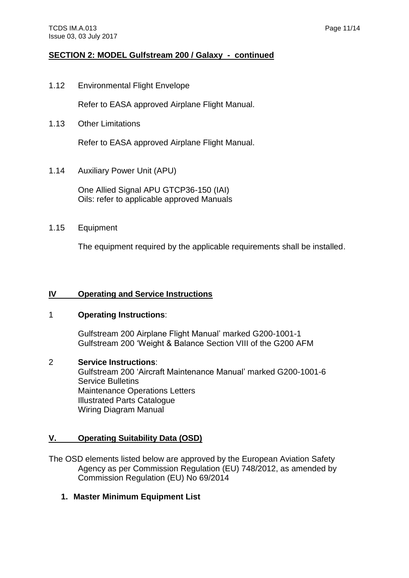<span id="page-10-0"></span>1.12 Environmental Flight Envelope

Refer to EASA approved Airplane Flight Manual.

<span id="page-10-1"></span>1.13 Other Limitations

Refer to EASA approved Airplane Flight Manual.

<span id="page-10-2"></span>1.14 Auxiliary Power Unit (APU)

One Allied Signal APU GTCP36-150 (IAI) Oils: refer to applicable approved Manuals

## <span id="page-10-3"></span>1.15 Equipment

The equipment required by the applicable requirements shall be installed.

## <span id="page-10-4"></span>**IV Operating and Service Instructions**

## <span id="page-10-5"></span>1 **Operating Instructions**:

Gulfstream 200 Airplane Flight Manual' marked G200-1001-1 Gulfstream 200 'Weight & Balance Section VIII of the G200 AFM

#### <span id="page-10-6"></span>2 **Service Instructions**:

Gulfstream 200 'Aircraft Maintenance Manual' marked G200-1001-6 Service Bulletins Maintenance Operations Letters Illustrated Parts Catalogue Wiring Diagram Manual

## <span id="page-10-7"></span>**V. Operating Suitability Data (OSD)**

The OSD elements listed below are approved by the European Aviation Safety Agency as per Commission Regulation (EU) 748/2012, as amended by Commission Regulation (EU) No 69/2014

**1. Master Minimum Equipment List**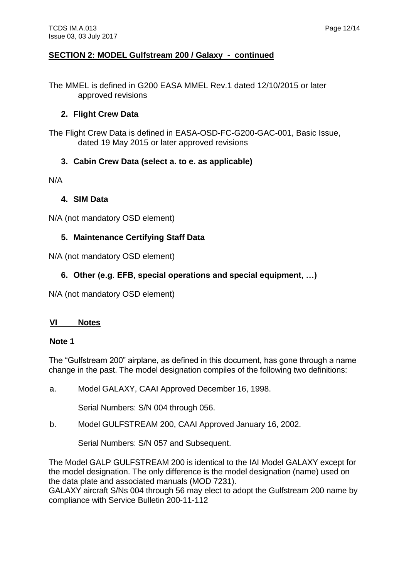The MMEL is defined in G200 EASA MMEL Rev.1 dated 12/10/2015 or later approved revisions

## **2. Flight Crew Data**

The Flight Crew Data is defined in EASA-OSD-FC-G200-GAC-001, Basic Issue, dated 19 May 2015 or later approved revisions

# **3. Cabin Crew Data (select a. to e. as applicable)**

N/A

## **4. SIM Data**

N/A (not mandatory OSD element)

# **5. Maintenance Certifying Staff Data**

N/A (not mandatory OSD element)

# **6. Other (e.g. EFB, special operations and special equipment, …)**

N/A (not mandatory OSD element)

## <span id="page-11-0"></span>**VI Notes**

#### **Note 1**

The "Gulfstream 200" airplane, as defined in this document, has gone through a name change in the past. The model designation compiles of the following two definitions:

a. Model GALAXY, CAAI Approved December 16, 1998.

Serial Numbers: S/N 004 through 056.

b. Model GULFSTREAM 200, CAAI Approved January 16, 2002.

Serial Numbers: S/N 057 and Subsequent.

The Model GALP GULFSTREAM 200 is identical to the IAI Model GALAXY except for the model designation. The only difference is the model designation (name) used on the data plate and associated manuals (MOD 7231).

GALAXY aircraft S/Ns 004 through 56 may elect to adopt the Gulfstream 200 name by compliance with Service Bulletin 200-11-112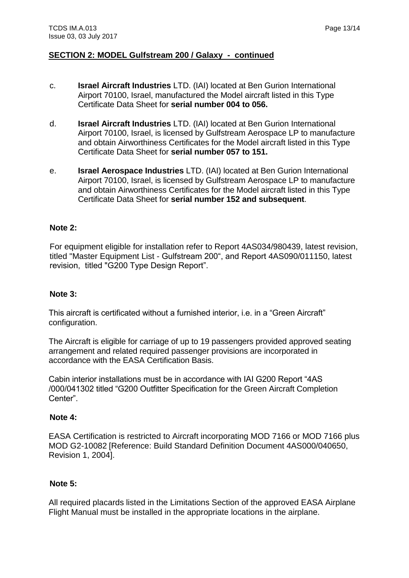- c. **Israel Aircraft Industries** LTD. (IAI) located at Ben Gurion International Airport 70100, Israel, manufactured the Model aircraft listed in this Type Certificate Data Sheet for **serial number 004 to 056.**
- d. **Israel Aircraft Industries** LTD. (IAI) located at Ben Gurion International Airport 70100, Israel, is licensed by Gulfstream Aerospace LP to manufacture and obtain Airworthiness Certificates for the Model aircraft listed in this Type Certificate Data Sheet for **serial number 057 to 151.**
- e. **Israel Aerospace Industries** LTD. (IAI) located at Ben Gurion International Airport 70100, Israel, is licensed by Gulfstream Aerospace LP to manufacture and obtain Airworthiness Certificates for the Model aircraft listed in this Type Certificate Data Sheet for **serial number 152 and subsequent**.

## **Note 2:**

For equipment eligible for installation refer to Report 4AS034/980439, latest revision, titled "Master Equipment List - Gulfstream 200", and Report 4AS090/011150, latest revision, titled "G200 Type Design Report".

#### **Note 3:**

This aircraft is certificated without a furnished interior, i.e. in a "Green Aircraft" configuration.

The Aircraft is eligible for carriage of up to 19 passengers provided approved seating arrangement and related required passenger provisions are incorporated in accordance with the EASA Certification Basis.

Cabin interior installations must be in accordance with IAI G200 Report "4AS /000/041302 titled "G200 Outfitter Specification for the Green Aircraft Completion Center".

#### **Note 4:**

EASA Certification is restricted to Aircraft incorporating MOD 7166 or MOD 7166 plus MOD G2-10082 [Reference: Build Standard Definition Document 4AS000/040650, Revision 1, 2004].

#### **Note 5:**

All required placards listed in the Limitations Section of the approved EASA Airplane Flight Manual must be installed in the appropriate locations in the airplane.